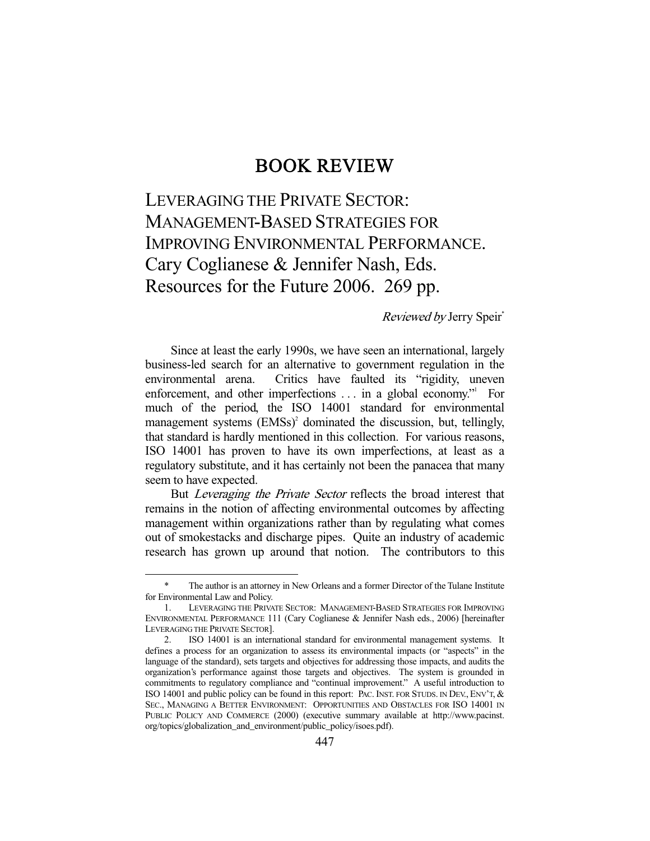## BOOK REVIEW

LEVERAGING THE PRIVATE SECTOR: MANAGEMENT-BASED STRATEGIES FOR IMPROVING ENVIRONMENTAL PERFORMANCE. Cary Coglianese & Jennifer Nash, Eds. Resources for the Future 2006. 269 pp.

## Reviewed by Jerry Speir\*

 Since at least the early 1990s, we have seen an international, largely business-led search for an alternative to government regulation in the environmental arena. Critics have faulted its "rigidity, uneven enforcement, and other imperfections . . . in a global economy." For much of the period, the ISO 14001 standard for environmental management systems (EMSs)<sup>2</sup> dominated the discussion, but, tellingly, that standard is hardly mentioned in this collection. For various reasons, ISO 14001 has proven to have its own imperfections, at least as a regulatory substitute, and it has certainly not been the panacea that many seem to have expected.

 But Leveraging the Private Sector reflects the broad interest that remains in the notion of affecting environmental outcomes by affecting management within organizations rather than by regulating what comes out of smokestacks and discharge pipes. Quite an industry of academic research has grown up around that notion. The contributors to this

The author is an attorney in New Orleans and a former Director of the Tulane Institute for Environmental Law and Policy.

 <sup>1.</sup> LEVERAGING THE PRIVATE SECTOR: MANAGEMENT-BASED STRATEGIES FOR IMPROVING ENVIRONMENTAL PERFORMANCE 111 (Cary Coglianese & Jennifer Nash eds., 2006) [hereinafter LEVERAGING THE PRIVATE SECTOR].<br>2. ISO 14001 is an intern

 <sup>2.</sup> ISO 14001 is an international standard for environmental management systems. It defines a process for an organization to assess its environmental impacts (or "aspects" in the language of the standard), sets targets and objectives for addressing those impacts, and audits the organization's performance against those targets and objectives. The system is grounded in commitments to regulatory compliance and "continual improvement." A useful introduction to ISO 14001 and public policy can be found in this report: PAC. INST. FOR STUDS. IN DEV., ENV'T, & SEC., MANAGING A BETTER ENVIRONMENT: OPPORTUNITIES AND OBSTACLES FOR ISO 14001 IN PUBLIC POLICY AND COMMERCE (2000) (executive summary available at http://www.pacinst. org/topics/globalization\_and\_environment/public\_policy/isoes.pdf).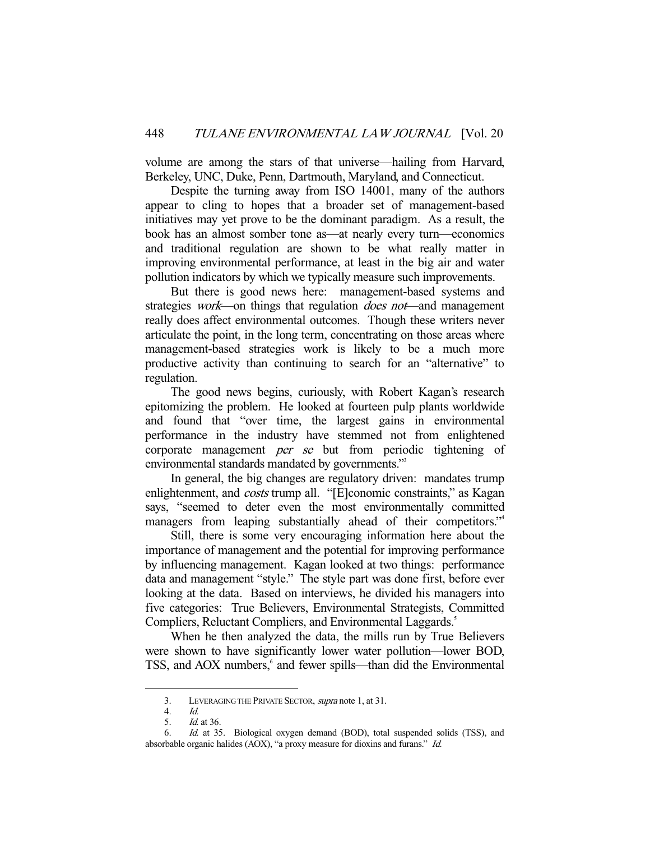volume are among the stars of that universe—hailing from Harvard, Berkeley, UNC, Duke, Penn, Dartmouth, Maryland, and Connecticut.

 Despite the turning away from ISO 14001, many of the authors appear to cling to hopes that a broader set of management-based initiatives may yet prove to be the dominant paradigm. As a result, the book has an almost somber tone as—at nearly every turn—economics and traditional regulation are shown to be what really matter in improving environmental performance, at least in the big air and water pollution indicators by which we typically measure such improvements.

 But there is good news here: management-based systems and strategies *work*—on things that regulation *does not*—and management really does affect environmental outcomes. Though these writers never articulate the point, in the long term, concentrating on those areas where management-based strategies work is likely to be a much more productive activity than continuing to search for an "alternative" to regulation.

 The good news begins, curiously, with Robert Kagan's research epitomizing the problem. He looked at fourteen pulp plants worldwide and found that "over time, the largest gains in environmental performance in the industry have stemmed not from enlightened corporate management *per se* but from periodic tightening of environmental standards mandated by governments."<sup>3</sup>

 In general, the big changes are regulatory driven: mandates trump enlightenment, and *costs* trump all. "[E]conomic constraints," as Kagan says, "seemed to deter even the most environmentally committed managers from leaping substantially ahead of their competitors."<sup>4</sup>

 Still, there is some very encouraging information here about the importance of management and the potential for improving performance by influencing management. Kagan looked at two things: performance data and management "style." The style part was done first, before ever looking at the data. Based on interviews, he divided his managers into five categories: True Believers, Environmental Strategists, Committed Compliers, Reluctant Compliers, and Environmental Laggards.<sup>5</sup>

 When he then analyzed the data, the mills run by True Believers were shown to have significantly lower water pollution—lower BOD, TSS, and AOX numbers,<sup>6</sup> and fewer spills—than did the Environmental

 <sup>3.</sup> LEVERAGING THE PRIVATE SECTOR, supra note 1, at 31.

 <sup>4.</sup> Id.

 <sup>5.</sup> Id. at 36.

 <sup>6.</sup> Id. at 35. Biological oxygen demand (BOD), total suspended solids (TSS), and absorbable organic halides (AOX), "a proxy measure for dioxins and furans." Id.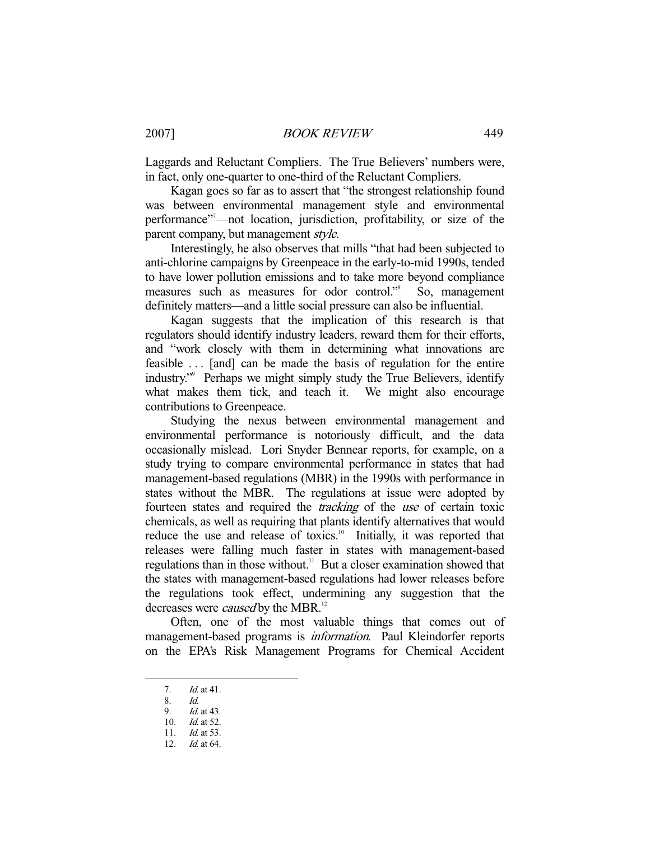Laggards and Reluctant Compliers. The True Believers' numbers were, in fact, only one-quarter to one-third of the Reluctant Compliers.

 Kagan goes so far as to assert that "the strongest relationship found was between environmental management style and environmental performance"7 —not location, jurisdiction, profitability, or size of the parent company, but management *style*.

 Interestingly, he also observes that mills "that had been subjected to anti-chlorine campaigns by Greenpeace in the early-to-mid 1990s, tended to have lower pollution emissions and to take more beyond compliance measures such as measures for odor control."8 So, management definitely matters—and a little social pressure can also be influential.

 Kagan suggests that the implication of this research is that regulators should identify industry leaders, reward them for their efforts, and "work closely with them in determining what innovations are feasible . . . [and] can be made the basis of regulation for the entire industry."9 Perhaps we might simply study the True Believers, identify what makes them tick, and teach it. We might also encourage contributions to Greenpeace.

 Studying the nexus between environmental management and environmental performance is notoriously difficult, and the data occasionally mislead. Lori Snyder Bennear reports, for example, on a study trying to compare environmental performance in states that had management-based regulations (MBR) in the 1990s with performance in states without the MBR. The regulations at issue were adopted by fourteen states and required the tracking of the use of certain toxic chemicals, as well as requiring that plants identify alternatives that would reduce the use and release of toxics.<sup>10</sup> Initially, it was reported that releases were falling much faster in states with management-based regulations than in those without.<sup>11</sup> But a closer examination showed that the states with management-based regulations had lower releases before the regulations took effect, undermining any suggestion that the decreases were *caused* by the MBR.<sup>12</sup>

 Often, one of the most valuable things that comes out of management-based programs is *information*. Paul Kleindorfer reports on the EPA's Risk Management Programs for Chemical Accident

 <sup>7.</sup> Id. at 41.

 <sup>8.</sup> Id.

Id. at 43. 10. Id. at 52.

 <sup>11.</sup> Id. at 53.

 <sup>12.</sup> Id. at 64.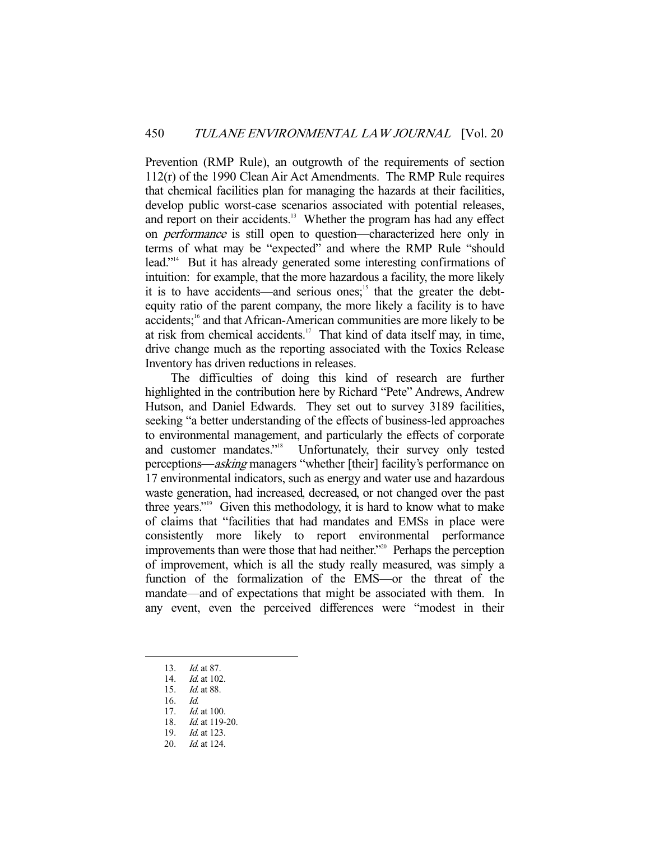Prevention (RMP Rule), an outgrowth of the requirements of section 112(r) of the 1990 Clean Air Act Amendments. The RMP Rule requires that chemical facilities plan for managing the hazards at their facilities, develop public worst-case scenarios associated with potential releases, and report on their accidents.<sup>13</sup> Whether the program has had any effect on performance is still open to question—characterized here only in terms of what may be "expected" and where the RMP Rule "should lead."<sup>14</sup> But it has already generated some interesting confirmations of intuition: for example, that the more hazardous a facility, the more likely it is to have accidents—and serious ones;<sup>15</sup> that the greater the debtequity ratio of the parent company, the more likely a facility is to have accidents;<sup>16</sup> and that African-American communities are more likely to be at risk from chemical accidents.<sup>17</sup> That kind of data itself may, in time, drive change much as the reporting associated with the Toxics Release Inventory has driven reductions in releases.

 The difficulties of doing this kind of research are further highlighted in the contribution here by Richard "Pete" Andrews, Andrew Hutson, and Daniel Edwards. They set out to survey 3189 facilities, seeking "a better understanding of the effects of business-led approaches to environmental management, and particularly the effects of corporate and customer mandates."18 Unfortunately, their survey only tested perceptions—asking managers "whether [their] facility's performance on 17 environmental indicators, such as energy and water use and hazardous waste generation, had increased, decreased, or not changed over the past three years."<sup>19</sup> Given this methodology, it is hard to know what to make of claims that "facilities that had mandates and EMSs in place were consistently more likely to report environmental performance improvements than were those that had neither."20 Perhaps the perception of improvement, which is all the study really measured, was simply a function of the formalization of the EMS—or the threat of the mandate—and of expectations that might be associated with them. In any event, even the perceived differences were "modest in their

 <sup>13.</sup> Id. at 87.

<sup>14.</sup> *Id.* at 102.

 <sup>15.</sup> Id. at 88.

 <sup>16.</sup> Id.

<sup>17.</sup> *Id.* at 100.

 <sup>18.</sup> Id. at 119-20.

 <sup>19.</sup> Id. at 123.

 <sup>20.</sup> Id. at 124.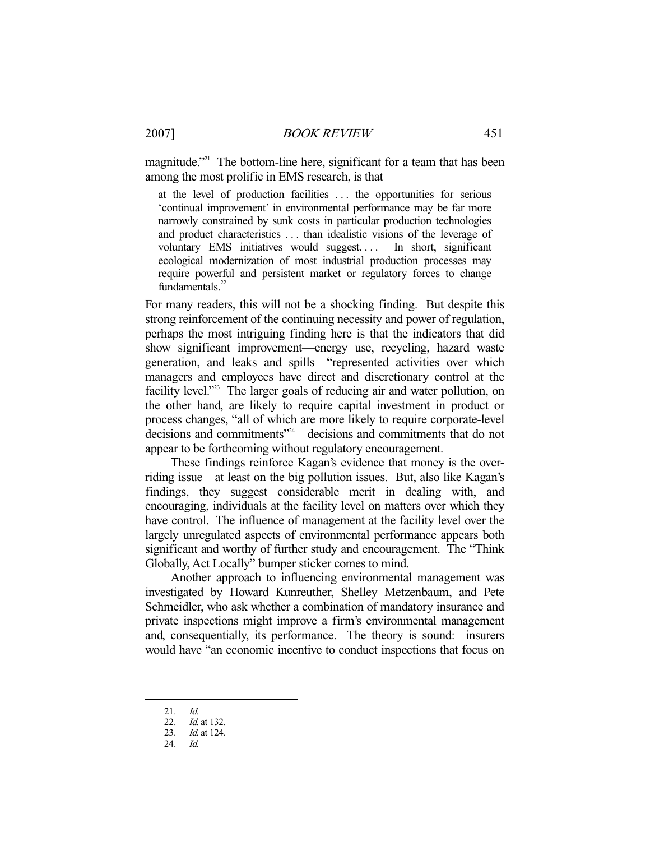magnitude."<sup>21</sup> The bottom-line here, significant for a team that has been among the most prolific in EMS research, is that

at the level of production facilities . . . the opportunities for serious 'continual improvement' in environmental performance may be far more narrowly constrained by sunk costs in particular production technologies and product characteristics . . . than idealistic visions of the leverage of voluntary EMS initiatives would suggest.... In short, significant ecological modernization of most industrial production processes may require powerful and persistent market or regulatory forces to change fundamentals. $22$ 

For many readers, this will not be a shocking finding. But despite this strong reinforcement of the continuing necessity and power of regulation, perhaps the most intriguing finding here is that the indicators that did show significant improvement—energy use, recycling, hazard waste generation, and leaks and spills—"represented activities over which managers and employees have direct and discretionary control at the facility level."<sup>23</sup> The larger goals of reducing air and water pollution, on the other hand, are likely to require capital investment in product or process changes, "all of which are more likely to require corporate-level decisions and commitments"24—decisions and commitments that do not appear to be forthcoming without regulatory encouragement.

 These findings reinforce Kagan's evidence that money is the overriding issue—at least on the big pollution issues. But, also like Kagan's findings, they suggest considerable merit in dealing with, and encouraging, individuals at the facility level on matters over which they have control. The influence of management at the facility level over the largely unregulated aspects of environmental performance appears both significant and worthy of further study and encouragement. The "Think Globally, Act Locally" bumper sticker comes to mind.

 Another approach to influencing environmental management was investigated by Howard Kunreuther, Shelley Metzenbaum, and Pete Schmeidler, who ask whether a combination of mandatory insurance and private inspections might improve a firm's environmental management and, consequentially, its performance. The theory is sound: insurers would have "an economic incentive to conduct inspections that focus on

 <sup>21.</sup> Id.

<sup>22.</sup> *Id.* at 132.

 <sup>23.</sup> Id. at 124.

 <sup>24.</sup> Id.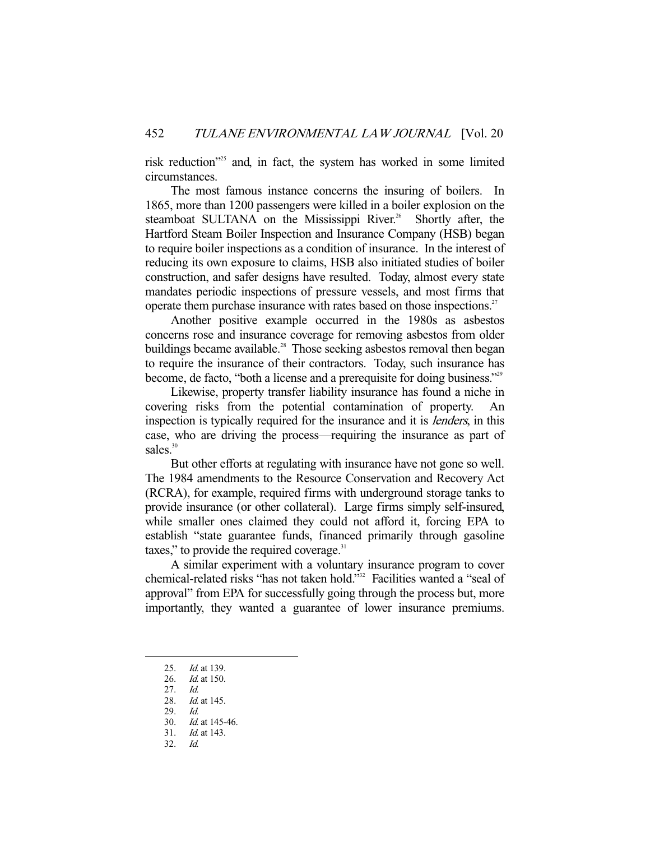risk reduction"<sup>25</sup> and, in fact, the system has worked in some limited circumstances.

 The most famous instance concerns the insuring of boilers. In 1865, more than 1200 passengers were killed in a boiler explosion on the steamboat SULTANA on the Mississippi River.<sup>26</sup> Shortly after, the Hartford Steam Boiler Inspection and Insurance Company (HSB) began to require boiler inspections as a condition of insurance. In the interest of reducing its own exposure to claims, HSB also initiated studies of boiler construction, and safer designs have resulted. Today, almost every state mandates periodic inspections of pressure vessels, and most firms that operate them purchase insurance with rates based on those inspections.<sup>27</sup>

 Another positive example occurred in the 1980s as asbestos concerns rose and insurance coverage for removing asbestos from older buildings became available.<sup>28</sup> Those seeking asbestos removal then began to require the insurance of their contractors. Today, such insurance has become, de facto, "both a license and a prerequisite for doing business."29

 Likewise, property transfer liability insurance has found a niche in covering risks from the potential contamination of property. An inspection is typically required for the insurance and it is lenders, in this case, who are driving the process—requiring the insurance as part of sales.<sup>30</sup>

 But other efforts at regulating with insurance have not gone so well. The 1984 amendments to the Resource Conservation and Recovery Act (RCRA), for example, required firms with underground storage tanks to provide insurance (or other collateral). Large firms simply self-insured, while smaller ones claimed they could not afford it, forcing EPA to establish "state guarantee funds, financed primarily through gasoline taxes," to provide the required coverage. $31$ 

 A similar experiment with a voluntary insurance program to cover chemical-related risks "has not taken hold."32 Facilities wanted a "seal of approval" from EPA for successfully going through the process but, more importantly, they wanted a guarantee of lower insurance premiums.

<sup>25.</sup> *Id.* at 139.

 <sup>26.</sup> Id. at 150.

 <sup>27.</sup> Id.

<sup>28.</sup> *Id.* at 145.

 <sup>29.</sup> Id.

 <sup>30.</sup> Id. at 145-46.

 <sup>31.</sup> Id. at 143.

 <sup>32.</sup> Id.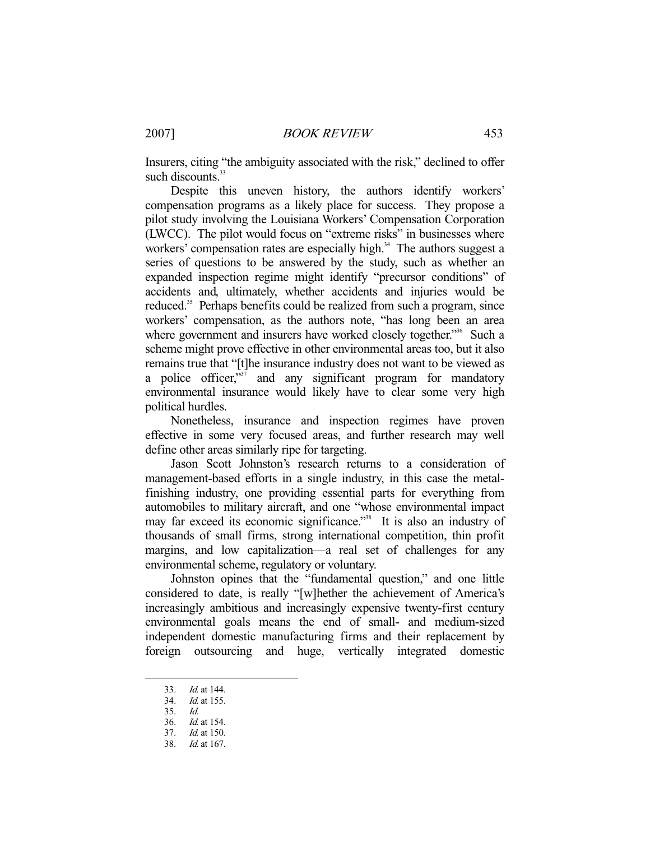Insurers, citing "the ambiguity associated with the risk," declined to offer such discounts.<sup>33</sup>

 Despite this uneven history, the authors identify workers' compensation programs as a likely place for success. They propose a pilot study involving the Louisiana Workers' Compensation Corporation (LWCC). The pilot would focus on "extreme risks" in businesses where workers' compensation rates are especially high. $34$  The authors suggest a series of questions to be answered by the study, such as whether an expanded inspection regime might identify "precursor conditions" of accidents and, ultimately, whether accidents and injuries would be reduced.<sup>35</sup> Perhaps benefits could be realized from such a program, since workers' compensation, as the authors note, "has long been an area where government and insurers have worked closely together."<sup>36</sup> Such a scheme might prove effective in other environmental areas too, but it also remains true that "[t]he insurance industry does not want to be viewed as a police officer,<sup>337</sup> and any significant program for mandatory environmental insurance would likely have to clear some very high political hurdles.

 Nonetheless, insurance and inspection regimes have proven effective in some very focused areas, and further research may well define other areas similarly ripe for targeting.

 Jason Scott Johnston's research returns to a consideration of management-based efforts in a single industry, in this case the metalfinishing industry, one providing essential parts for everything from automobiles to military aircraft, and one "whose environmental impact may far exceed its economic significance."<sup>38</sup> It is also an industry of thousands of small firms, strong international competition, thin profit margins, and low capitalization—a real set of challenges for any environmental scheme, regulatory or voluntary.

 Johnston opines that the "fundamental question," and one little considered to date, is really "[w]hether the achievement of America's increasingly ambitious and increasingly expensive twenty-first century environmental goals means the end of small- and medium-sized independent domestic manufacturing firms and their replacement by foreign outsourcing and huge, vertically integrated domestic

 <sup>33.</sup> Id. at 144.

 <sup>34.</sup> Id. at 155.

 <sup>35.</sup> Id.

 <sup>36.</sup> Id. at 154. 37. Id. at 150.

 <sup>38.</sup> Id. at 167.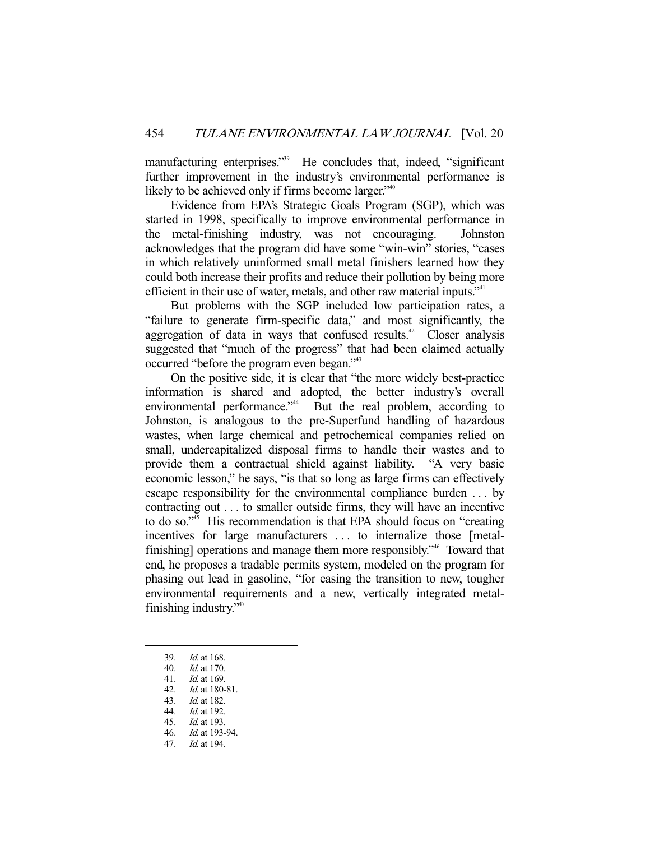manufacturing enterprises."<sup>39</sup> He concludes that, indeed, "significant further improvement in the industry's environmental performance is likely to be achieved only if firms become larger."<sup>40</sup>

 Evidence from EPA's Strategic Goals Program (SGP), which was started in 1998, specifically to improve environmental performance in the metal-finishing industry, was not encouraging. Johnston acknowledges that the program did have some "win-win" stories, "cases in which relatively uninformed small metal finishers learned how they could both increase their profits and reduce their pollution by being more efficient in their use of water, metals, and other raw material inputs."<sup>41</sup>

 But problems with the SGP included low participation rates, a "failure to generate firm-specific data," and most significantly, the aggregation of data in ways that confused results.<sup> $42$ </sup> Closer analysis suggested that "much of the progress" that had been claimed actually occurred "before the program even began."43

 On the positive side, it is clear that "the more widely best-practice information is shared and adopted, the better industry's overall environmental performance."<sup>44</sup> But the real problem, according to Johnston, is analogous to the pre-Superfund handling of hazardous wastes, when large chemical and petrochemical companies relied on small, undercapitalized disposal firms to handle their wastes and to provide them a contractual shield against liability. "A very basic economic lesson," he says, "is that so long as large firms can effectively escape responsibility for the environmental compliance burden . . . by contracting out . . . to smaller outside firms, they will have an incentive to do so. $\mathbb{R}^3$  His recommendation is that EPA should focus on "creating" incentives for large manufacturers . . . to internalize those [metalfinishing] operations and manage them more responsibly."46 Toward that end, he proposes a tradable permits system, modeled on the program for phasing out lead in gasoline, "for easing the transition to new, tougher environmental requirements and a new, vertically integrated metalfinishing industry."<sup>47</sup>

-

45. Id. at 193.

<sup>39.</sup> *Id.* at 168.<br>40. *Id.* at 170.

 $Id.$  at 170.

 <sup>41.</sup> Id. at 169.

 <sup>42.</sup> Id. at 180-81.

 <sup>43.</sup> Id. at 182.

 <sup>44.</sup> Id. at 192.

 <sup>46.</sup> Id. at 193-94.

 <sup>47.</sup> Id. at 194.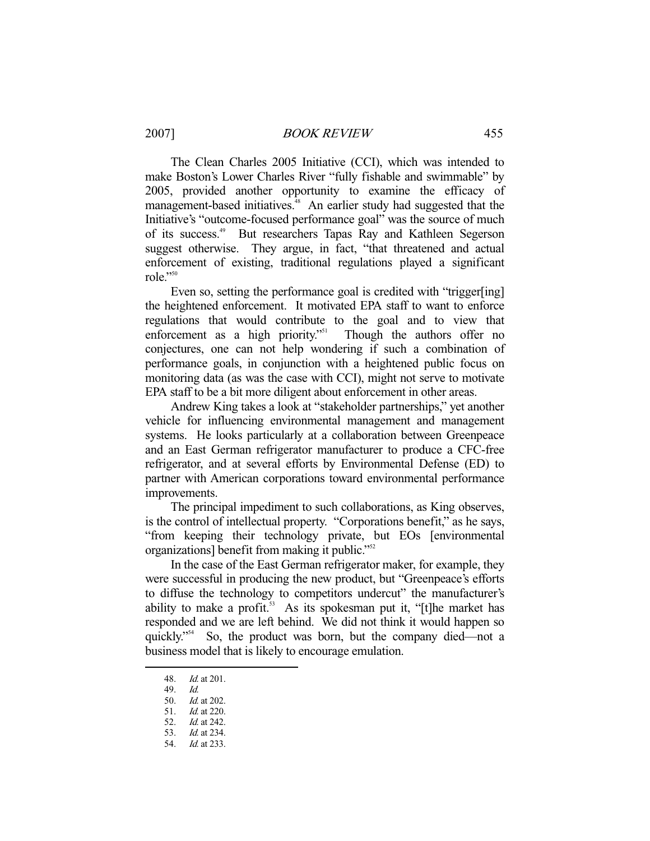The Clean Charles 2005 Initiative (CCI), which was intended to make Boston's Lower Charles River "fully fishable and swimmable" by 2005, provided another opportunity to examine the efficacy of management-based initiatives.<sup>48</sup> An earlier study had suggested that the Initiative's "outcome-focused performance goal" was the source of much of its success.49 But researchers Tapas Ray and Kathleen Segerson suggest otherwise. They argue, in fact, "that threatened and actual enforcement of existing, traditional regulations played a significant role."50

Even so, setting the performance goal is credited with "trigger[ing] the heightened enforcement. It motivated EPA staff to want to enforce regulations that would contribute to the goal and to view that enforcement as a high priority.<sup>"51</sup> Though the authors offer no conjectures, one can not help wondering if such a combination of performance goals, in conjunction with a heightened public focus on monitoring data (as was the case with CCI), might not serve to motivate EPA staff to be a bit more diligent about enforcement in other areas.

 Andrew King takes a look at "stakeholder partnerships," yet another vehicle for influencing environmental management and management systems. He looks particularly at a collaboration between Greenpeace and an East German refrigerator manufacturer to produce a CFC-free refrigerator, and at several efforts by Environmental Defense (ED) to partner with American corporations toward environmental performance improvements.

 The principal impediment to such collaborations, as King observes, is the control of intellectual property. "Corporations benefit," as he says, "from keeping their technology private, but EOs [environmental organizations] benefit from making it public."<sup>52</sup>

 In the case of the East German refrigerator maker, for example, they were successful in producing the new product, but "Greenpeace's efforts to diffuse the technology to competitors undercut" the manufacturer's ability to make a profit.<sup>53</sup> As its spokesman put it, "[t]he market has responded and we are left behind. We did not think it would happen so quickly."54 So, the product was born, but the company died—not a business model that is likely to encourage emulation.

 <sup>48.</sup> Id. at 201.

 <sup>49.</sup> Id.

 <sup>50.</sup> Id. at 202.

 <sup>51.</sup> Id. at 220.

 <sup>52.</sup> Id. at 242.

 <sup>53.</sup> Id. at 234.

 <sup>54.</sup> Id. at 233.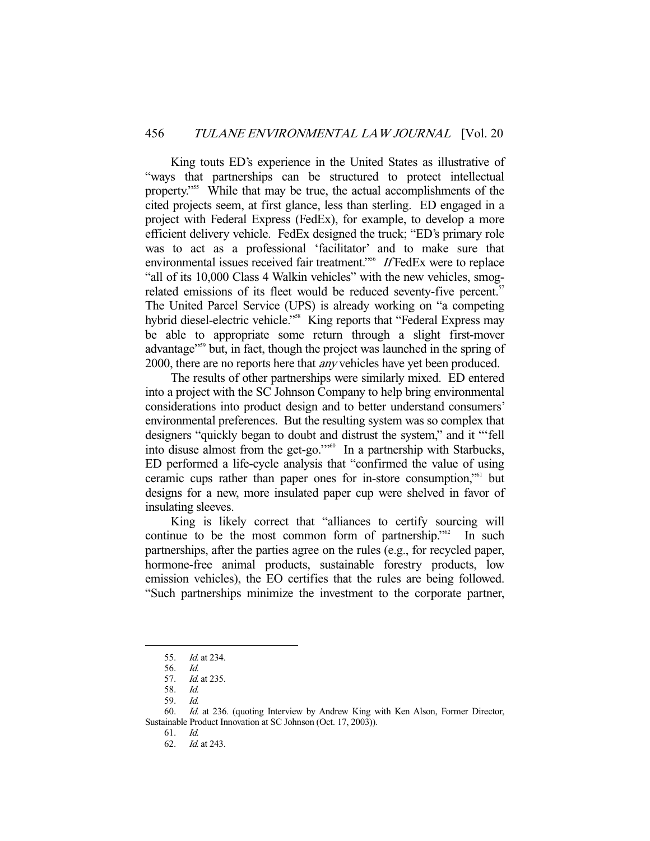King touts ED's experience in the United States as illustrative of "ways that partnerships can be structured to protect intellectual property."55 While that may be true, the actual accomplishments of the cited projects seem, at first glance, less than sterling. ED engaged in a project with Federal Express (FedEx), for example, to develop a more efficient delivery vehicle. FedEx designed the truck; "ED's primary role was to act as a professional 'facilitator' and to make sure that environmental issues received fair treatment."<sup>56</sup> If FedEx were to replace "all of its 10,000 Class 4 Walkin vehicles" with the new vehicles, smogrelated emissions of its fleet would be reduced seventy-five percent.<sup>57</sup> The United Parcel Service (UPS) is already working on "a competing hybrid diesel-electric vehicle."<sup>58</sup> King reports that "Federal Express may be able to appropriate some return through a slight first-mover advantage"<sup>559</sup> but, in fact, though the project was launched in the spring of 2000, there are no reports here that *any* vehicles have yet been produced.

 The results of other partnerships were similarly mixed. ED entered into a project with the SC Johnson Company to help bring environmental considerations into product design and to better understand consumers' environmental preferences. But the resulting system was so complex that designers "quickly began to doubt and distrust the system," and it "'fell into disuse almost from the get-go.'"60 In a partnership with Starbucks, ED performed a life-cycle analysis that "confirmed the value of using ceramic cups rather than paper ones for in-store consumption,"61 but designs for a new, more insulated paper cup were shelved in favor of insulating sleeves.

 King is likely correct that "alliances to certify sourcing will continue to be the most common form of partnership."<sup>62</sup> In such partnerships, after the parties agree on the rules (e.g., for recycled paper, hormone-free animal products, sustainable forestry products, low emission vehicles), the EO certifies that the rules are being followed. "Such partnerships minimize the investment to the corporate partner,

 <sup>55.</sup> Id. at 234.

 <sup>56.</sup> Id.

 <sup>57.</sup> Id. at 235.

 <sup>58.</sup> Id.

 <sup>59.</sup> Id.

 <sup>60.</sup> Id. at 236. (quoting Interview by Andrew King with Ken Alson, Former Director, Sustainable Product Innovation at SC Johnson (Oct. 17, 2003)).

 <sup>61.</sup> Id.

 <sup>62.</sup> Id. at 243.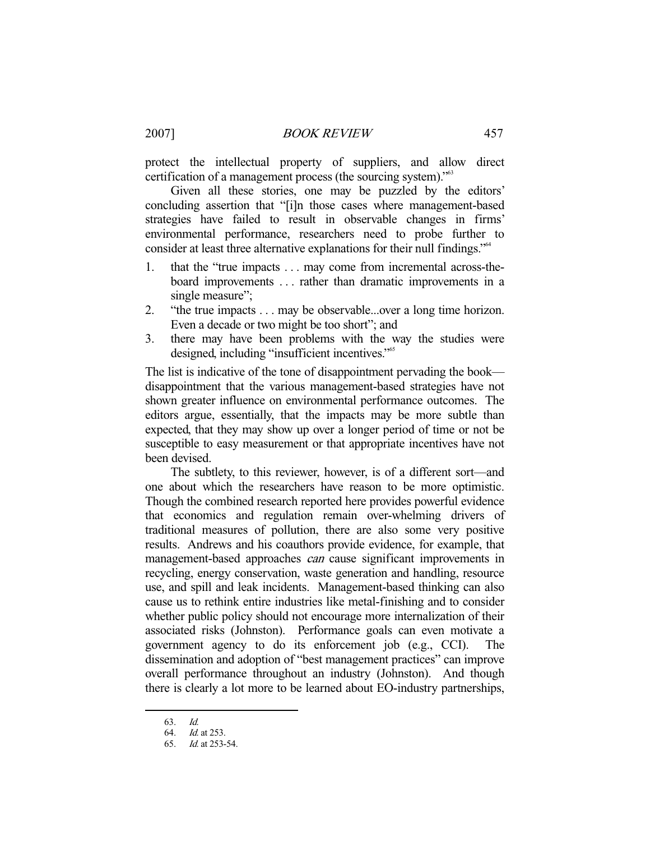protect the intellectual property of suppliers, and allow direct certification of a management process (the sourcing system)."63

 Given all these stories, one may be puzzled by the editors' concluding assertion that "[i]n those cases where management-based strategies have failed to result in observable changes in firms' environmental performance, researchers need to probe further to consider at least three alternative explanations for their null findings."64

- 1. that the "true impacts . . . may come from incremental across-theboard improvements . . . rather than dramatic improvements in a single measure":
- 2. "the true impacts . . . may be observable...over a long time horizon. Even a decade or two might be too short"; and
- 3. there may have been problems with the way the studies were designed, including "insufficient incentives."65

The list is indicative of the tone of disappointment pervading the book disappointment that the various management-based strategies have not shown greater influence on environmental performance outcomes. The editors argue, essentially, that the impacts may be more subtle than expected, that they may show up over a longer period of time or not be susceptible to easy measurement or that appropriate incentives have not been devised.

 The subtlety, to this reviewer, however, is of a different sort—and one about which the researchers have reason to be more optimistic. Though the combined research reported here provides powerful evidence that economics and regulation remain over-whelming drivers of traditional measures of pollution, there are also some very positive results. Andrews and his coauthors provide evidence, for example, that management-based approaches *can* cause significant improvements in recycling, energy conservation, waste generation and handling, resource use, and spill and leak incidents. Management-based thinking can also cause us to rethink entire industries like metal-finishing and to consider whether public policy should not encourage more internalization of their associated risks (Johnston). Performance goals can even motivate a government agency to do its enforcement job (e.g., CCI). dissemination and adoption of "best management practices" can improve overall performance throughout an industry (Johnston). And though there is clearly a lot more to be learned about EO-industry partnerships,

 <sup>63.</sup> Id.

 <sup>64.</sup> Id. at 253.

 <sup>65.</sup> Id. at 253-54.